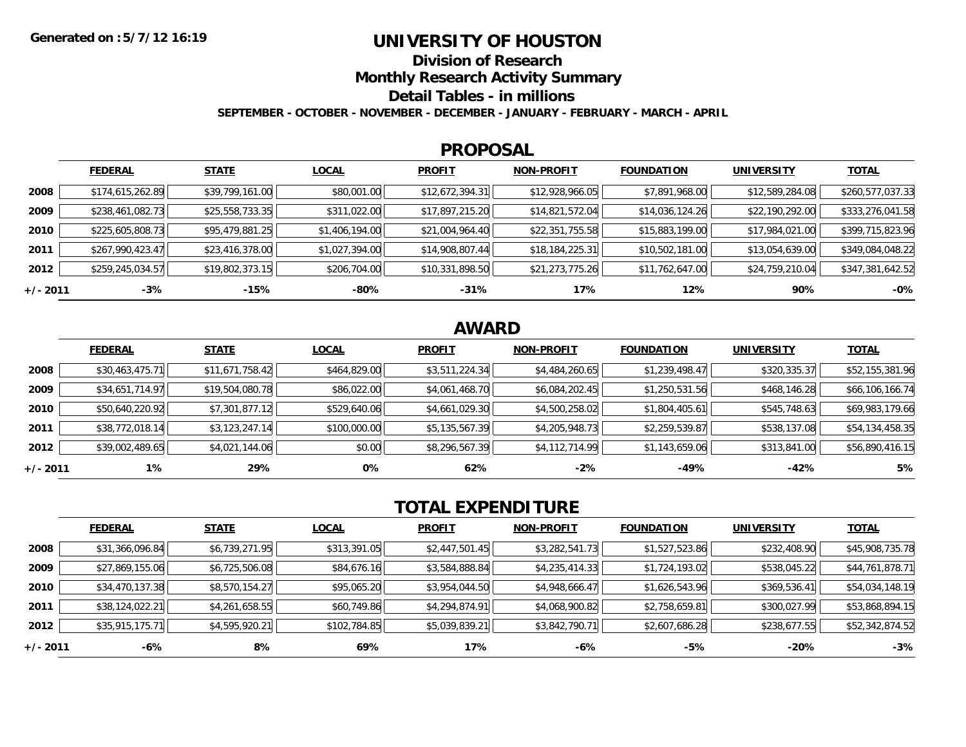## **UNIVERSITY OF HOUSTON**

**Division of Research**

**Monthly Research Activity Summary**

**Detail Tables - in millions**

**SEPTEMBER - OCTOBER - NOVEMBER - DECEMBER - JANUARY - FEBRUARY - MARCH - APRIL**

#### **PROPOSAL**

|            | <b>FEDERAL</b>   | <b>STATE</b>    | <b>LOCAL</b>   | <b>PROFIT</b>   | <b>NON-PROFIT</b> | <b>FOUNDATION</b> | <b>UNIVERSITY</b> | <u>TOTAL</u>     |
|------------|------------------|-----------------|----------------|-----------------|-------------------|-------------------|-------------------|------------------|
| 2008       | \$174,615,262.89 | \$39,799,161.00 | \$80,001.00    | \$12,672,394.31 | \$12,928,966.05   | \$7,891,968.00    | \$12,589,284.08   | \$260,577,037.33 |
| 2009       | \$238,461,082.73 | \$25,558,733.35 | \$311,022.00   | \$17,897,215.20 | \$14,821,572.04   | \$14,036,124.26   | \$22,190,292.00   | \$333,276,041.58 |
| 2010       | \$225,605,808.73 | \$95,479,881.25 | \$1,406,194.00 | \$21,004,964.40 | \$22,351,755.58   | \$15,883,199.00   | \$17,984,021.00   | \$399,715,823.96 |
| 2011       | \$267,990,423.47 | \$23,416,378.00 | \$1,027,394.00 | \$14,908,807.44 | \$18,184,225.31   | \$10,502,181.00   | \$13,054,639.00   | \$349,084,048.22 |
| 2012       | \$259,245,034.57 | \$19,802,373.15 | \$206,704.00   | \$10,331,898.50 | \$21,273,775.26   | \$11,762,647.00   | \$24,759,210.04   | \$347,381,642.52 |
| $+/- 2011$ | $-3%$            | -15%            | -80%           | $-31%$          | 17%               | 12%               | 90%               | $-0%$            |

# **AWARD**

|          | <b>FEDERAL</b>  | <b>STATE</b>    | <b>LOCAL</b> | <b>PROFIT</b>  | <b>NON-PROFIT</b> | <b>FOUNDATION</b> | <b>UNIVERSITY</b> | <u>TOTAL</u>    |
|----------|-----------------|-----------------|--------------|----------------|-------------------|-------------------|-------------------|-----------------|
| 2008     | \$30,463,475.71 | \$11,671,758.42 | \$464,829.00 | \$3,511,224.34 | \$4,484,260.65    | \$1,239,498.47    | \$320,335.37      | \$52,155,381.96 |
| 2009     | \$34,651,714.97 | \$19,504,080.78 | \$86,022.00  | \$4,061,468.70 | \$6,084,202.45    | \$1,250,531.56    | \$468,146.28      | \$66,106,166.74 |
| 2010     | \$50,640,220.92 | \$7,301,877.12  | \$529,640.06 | \$4,661,029.30 | \$4,500,258.02    | \$1,804,405.61    | \$545,748.63      | \$69,983,179.66 |
| 2011     | \$38,772,018.14 | \$3,123,247.14  | \$100,000.00 | \$5,135,567.39 | \$4,205,948.73    | \$2,259,539.87    | \$538,137.08      | \$54,134,458.35 |
| 2012     | \$39,002,489.65 | \$4,021,144.06  | \$0.00       | \$8,296,567.39 | \$4,112,714.99    | \$1,143,659.06    | \$313,841.00      | \$56,890,416.15 |
| +/- 2011 | $1\%$           | 29%             | 0%           | 62%            | $-2%$             | $-49%$            | $-42%$            | 5%              |

# **TOTAL EXPENDITURE**

|            | <b>FEDERAL</b>  | <b>STATE</b>   | <b>LOCAL</b> | <b>PROFIT</b>  | <b>NON-PROFIT</b> | <b>FOUNDATION</b> | <b>UNIVERSITY</b> | <b>TOTAL</b>    |
|------------|-----------------|----------------|--------------|----------------|-------------------|-------------------|-------------------|-----------------|
| 2008       | \$31,366,096.84 | \$6,739,271.95 | \$313,391.05 | \$2,447,501.45 | \$3,282,541.73    | \$1,527,523.86    | \$232,408.90      | \$45,908,735.78 |
| 2009       | \$27,869,155.06 | \$6,725,506.08 | \$84,676.16  | \$3,584,888.84 | \$4,235,414.33    | \$1,724,193.02    | \$538,045.22      | \$44,761,878.71 |
| 2010       | \$34,470,137.38 | \$8,570,154.27 | \$95,065.20  | \$3,954,044.50 | \$4,948,666.47    | \$1,626,543.96    | \$369,536.41      | \$54,034,148.19 |
| 2011       | \$38,124,022.21 | \$4,261,658.55 | \$60,749.86  | \$4,294,874.91 | \$4,068,900.82    | \$2,758,659.81    | \$300,027.99      | \$53,868,894.15 |
| 2012       | \$35,915,175.71 | \$4,595,920.21 | \$102,784.85 | \$5,039,839.21 | \$3,842,790.71    | \$2,607,686.28    | \$238,677.55      | \$52,342,874.52 |
| $+/- 2011$ | $-6%$           | 8%             | 69%          | 17%            | $-6%$             | -5%               | $-20%$            | $-3%$           |